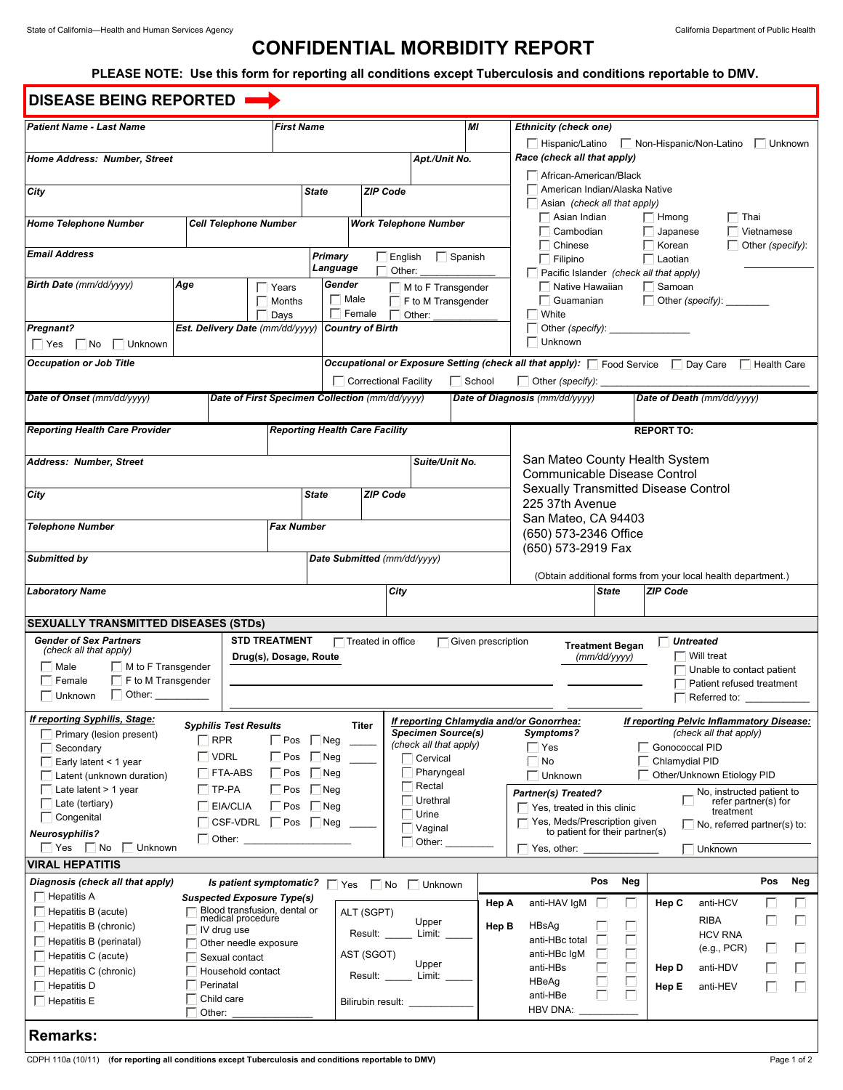# **CONFIDENTIAL MORBIDITY REPORT**

## **PLEASE NOTE: Use this form for reporting all conditions except Tuberculosis and conditions reportable to DMV.**

| <b>DISEASE BEING REPORTED</b>                               |                              |                                                |                                       |                              |                             |                           |                                                           |                                                                                                       |                                 |                                           |                                    |              | ▼∣  |  |
|-------------------------------------------------------------|------------------------------|------------------------------------------------|---------------------------------------|------------------------------|-----------------------------|---------------------------|-----------------------------------------------------------|-------------------------------------------------------------------------------------------------------|---------------------------------|-------------------------------------------|------------------------------------|--------------|-----|--|
| <b>Patient Name - Last Name</b>                             |                              |                                                | <b>First Name</b>                     |                              |                             | MI                        |                                                           | <b>Ethnicity (check one)</b>                                                                          |                                 |                                           |                                    |              |     |  |
|                                                             |                              |                                                |                                       |                              |                             |                           |                                                           | Non-Hispanic/Non-Latino<br>□ Hispanic/Latino<br>$\Box$ Unknown                                        |                                 |                                           |                                    |              |     |  |
| Home Address: Number, Street                                |                              |                                                |                                       |                              | Apt./Unit No.               |                           |                                                           | Race (check all that apply)                                                                           |                                 |                                           |                                    |              |     |  |
|                                                             |                              |                                                |                                       |                              |                             |                           |                                                           | African-American/Black<br>American Indian/Alaska Native                                               |                                 |                                           |                                    |              |     |  |
| City                                                        |                              |                                                | <b>State</b>                          | <b>ZIP Code</b>              |                             |                           |                                                           | Asian (check all that apply)                                                                          |                                 |                                           |                                    |              |     |  |
|                                                             |                              |                                                |                                       |                              |                             |                           |                                                           | Asian Indian                                                                                          |                                 | $\Box$ Hmong                              | $\Box$ Thai                        |              |     |  |
| <b>Home Telephone Number</b>                                | <b>Cell Telephone Number</b> | <b>Work Telephone Number</b>                   |                                       |                              |                             |                           | Cambodian                                                 |                                                                                                       | $\Box$ Japanese                 |                                           | Vietnamese                         |              |     |  |
| <b>Email Address</b>                                        |                              | Primary<br>$\Box$ Spanish<br>English           |                                       |                              |                             | Chinese                   |                                                           | $\Box$ Korean                                                                                         |                                 | $\Box$ Other (specify):                   |                                    |              |     |  |
|                                                             | Language<br>Other:           |                                                |                                       |                              | $\Box$ Filipino             |                           | $\Box$ Laotian<br>Pacific Islander (check all that apply) |                                                                                                       |                                 |                                           |                                    |              |     |  |
| Birth Date (mm/dd/yyyy)                                     | Age                          | Years                                          | Gender                                |                              | $\Box$ M to F Transgender   |                           |                                                           | $\Box$ Native Hawaiian                                                                                |                                 | $\Box$ Samoan                             |                                    |              |     |  |
|                                                             |                              | $\Box$ Months                                  |                                       | $\Box$ Male                  | $\Box$ F to M Transgender   |                           |                                                           | $\Box$ Guamanian                                                                                      |                                 | $\Box$ Other (specify): $\Box$            |                                    |              |     |  |
|                                                             |                              | Days                                           |                                       | $\Box$ Female                | Other:                      |                           |                                                           | White                                                                                                 |                                 |                                           |                                    |              |     |  |
| <b>Pregnant?</b>                                            |                              | Est. Delivery Date (mm/dd/yyyy)                | <b>Country of Birth</b>               |                              |                             |                           |                                                           | Other (specify): ______<br>Unknown                                                                    |                                 |                                           |                                    |              |     |  |
| $\Box$ Yes $\Box$ No<br>$\Box$ Unknown                      |                              |                                                |                                       |                              |                             |                           |                                                           |                                                                                                       |                                 |                                           |                                    |              |     |  |
| <b>Occupation or Job Title</b>                              |                              |                                                |                                       |                              |                             |                           |                                                           | <b>Occupational or Exposure Setting (check all that apply):</b> Food Service   Day Care   Health Care |                                 |                                           |                                    |              |     |  |
|                                                             |                              |                                                |                                       | $\Box$ Correctional Facility |                             | $\Box$ School             |                                                           | $\Box$ Other (specify): $\Box$                                                                        |                                 |                                           |                                    |              |     |  |
| Date of Onset (mm/dd/yyyy)                                  |                              | Date of First Specimen Collection (mm/dd/yyyy) |                                       |                              |                             |                           |                                                           | Date of Diagnosis (mm/dd/yyyy)                                                                        |                                 | Date of Death (mm/dd/yyyy)                |                                    |              |     |  |
| <b>Reporting Health Care Provider</b>                       |                              |                                                | <b>Reporting Health Care Facility</b> |                              |                             |                           |                                                           | <b>REPORT TO:</b>                                                                                     |                                 |                                           |                                    |              |     |  |
|                                                             |                              |                                                |                                       |                              |                             |                           |                                                           |                                                                                                       |                                 |                                           |                                    |              |     |  |
| Address: Number, Street                                     |                              |                                                |                                       |                              | Suite/Unit No.              |                           |                                                           | San Mateo County Health System<br>Communicable Disease Control                                        |                                 |                                           |                                    |              |     |  |
|                                                             |                              |                                                |                                       |                              |                             |                           |                                                           | Sexually Transmitted Disease Control                                                                  |                                 |                                           |                                    |              |     |  |
| City                                                        |                              |                                                | <b>State</b>                          | <b>ZIP Code</b>              |                             |                           |                                                           | 225 37th Avenue                                                                                       |                                 |                                           |                                    |              |     |  |
| <b>Telephone Number</b>                                     |                              |                                                | <b>Fax Number</b>                     |                              |                             |                           |                                                           | San Mateo, CA 94403                                                                                   |                                 |                                           |                                    |              |     |  |
|                                                             |                              |                                                |                                       |                              |                             |                           |                                                           | (650) 573-2346 Office                                                                                 |                                 |                                           |                                    |              |     |  |
| Submitted by                                                |                              |                                                |                                       |                              | Date Submitted (mm/dd/yyyy) |                           |                                                           | (650) 573-2919 Fax                                                                                    |                                 |                                           |                                    |              |     |  |
|                                                             |                              |                                                |                                       |                              |                             |                           |                                                           | (Obtain additional forms from your local health department.)                                          |                                 |                                           |                                    |              |     |  |
| <b>Laboratory Name</b>                                      |                              |                                                |                                       |                              | City                        |                           |                                                           |                                                                                                       | <b>State</b>                    | <b>ZIP Code</b>                           |                                    |              |     |  |
|                                                             |                              |                                                |                                       |                              |                             |                           |                                                           |                                                                                                       |                                 |                                           |                                    |              |     |  |
| <b>SEXUALLY TRANSMITTED DISEASES (STDs)</b>                 |                              |                                                |                                       |                              |                             |                           |                                                           |                                                                                                       |                                 |                                           |                                    |              |     |  |
| <b>Gender of Sex Partners</b><br>(check all that apply)     |                              | <b>STD TREATMENT</b>                           |                                       | $\Box$ Treated in office     |                             | $\Box$ Given prescription |                                                           |                                                                                                       | <b>Treatment Began</b>          | Untreated                                 |                                    |              |     |  |
| Drug(s), Dosage, Route<br>Male<br>$\Box$ M to F Transgender |                              |                                                |                                       |                              |                             |                           |                                                           | $\Box$ Will treat<br>(mm/dd/yyyy)<br>Unable to contact patient                                        |                                 |                                           |                                    |              |     |  |
| $\Box$ F to M Transgender<br>Female                         |                              |                                                |                                       |                              |                             |                           |                                                           | Patient refused treatment                                                                             |                                 |                                           |                                    |              |     |  |
| $\Box$ Other: $\_\_\_\_\_\_\_\_\_\_\_\_$<br>$\Box$ Unknown  |                              |                                                |                                       |                              |                             |                           |                                                           |                                                                                                       |                                 |                                           | Referred to:                       |              |     |  |
| If reporting Syphilis, Stage:                               |                              |                                                |                                       |                              |                             |                           |                                                           | If reporting Chlamydia and/or Gonorrhea:                                                              |                                 | If reporting Pelvic Inflammatory Disease: |                                    |              |     |  |
| Primary (lesion present)                                    | $\Box$ RPR                   | <b>Syphilis Test Results</b>                   |                                       | <b>Titer</b>                 | <b>Specimen Source(s)</b>   |                           |                                                           | Symptoms?                                                                                             |                                 |                                           | (check all that apply)             |              |     |  |
| Secondary                                                   |                              | $\Box$ Pos                                     | $\Box$ Neg                            | (check all that apply)       |                             |                           |                                                           | $\Box$ Yes<br>Gonococcal PID                                                                          |                                 |                                           |                                    |              |     |  |
| $\Box$ VDRL<br>Early latent < 1 year                        |                              |                                                | Pos<br>$\Box$ Neg<br>Cervical         |                              |                             |                           |                                                           | $\Box$ No                                                                                             |                                 | Chlamydial PID                            |                                    |              |     |  |
| $\Box$ FTA-ABS<br>Latent (unknown duration)                 |                              |                                                | Pharyngeal<br>Pos<br>Neg<br>Rectal    |                              |                             |                           |                                                           | Unknown<br>Other/Unknown Etiology PID                                                                 |                                 |                                           |                                    |              |     |  |
| $\Box$ TP-PA<br>Late latent $> 1$ year                      |                              |                                                | $\Box$ Pos<br>Neg<br>Urethral         |                              |                             |                           |                                                           | No, instructed patient to<br>Partner(s) Treated?<br>refer partner(s) for                              |                                 |                                           |                                    |              |     |  |
| Late (tertiary)<br>$\Box$ EIA/CLIA<br>Congenital            |                              |                                                | $\sqrt{P}$<br>l Neg<br>Urine          |                              |                             |                           |                                                           | $\overline{\phantom{a}}$ Yes, treated in this clinic<br>treatment                                     |                                 |                                           |                                    |              |     |  |
| Neurosyphilis?                                              |                              | $\Box$ CSF-VDRL<br>Pos                         | $\Box$ Neg                            |                              | Vaginal                     |                           |                                                           | □ Yes, Meds/Prescription given                                                                        | to patient for their partner(s) |                                           | $\Box$ No, referred partner(s) to: |              |     |  |
| Yes<br>$\Box$<br>No<br>Unknown                              | $\Box$ Other: $\Box$         |                                                |                                       |                              | Other:                      |                           |                                                           | Yes, other:                                                                                           |                                 |                                           | Unknown                            |              |     |  |
| <b>VIRAL HEPATITIS</b>                                      |                              |                                                |                                       |                              |                             |                           |                                                           |                                                                                                       |                                 |                                           |                                    |              |     |  |
| Diagnosis (check all that apply)                            |                              | Is patient symptomatic? $\Box$ Yes             |                                       | $\Box$ No                    | $\Box$ Unknown              |                           |                                                           |                                                                                                       | Neg<br>Pos                      |                                           |                                    | Pos          | Neg |  |
| $\Box$ Hepatitis A                                          |                              | <b>Suspected Exposure Type(s)</b>              |                                       |                              |                             |                           |                                                           |                                                                                                       | $\Box$                          |                                           |                                    |              |     |  |
| $\Box$ Hepatitis B (acute)                                  |                              | Blood transfusion, dental or                   |                                       | ALT (SGPT)                   |                             |                           | Hep A                                                     | anti-HAV IgM                                                                                          | П                               | Hep C                                     | anti-HCV                           | п            |     |  |
| $\Box$ Hepatitis B (chronic)                                | IV drug use                  | medical procedure                              |                                       |                              | Upper<br>Limit:             |                           | Hep B                                                     | HBsAg                                                                                                 |                                 |                                           | <b>RIBA</b>                        | $\mathbf{L}$ | Ш   |  |
| Hepatitis B (perinatal)                                     |                              | Other needle exposure                          |                                       | Result:                      |                             |                           |                                                           | anti-HBc total                                                                                        | Γ                               |                                           | <b>HCV RNA</b><br>(e.g., PCR)      | $\mathsf{L}$ |     |  |
| Hepatitis C (acute)                                         |                              | Sexual contact                                 |                                       | AST (SGOT)                   | Upper                       |                           |                                                           | anti-HBc IgM                                                                                          |                                 |                                           |                                    |              |     |  |
| Hepatitis C (chronic)                                       |                              | Household contact                              |                                       | Result:                      | Limit:                      |                           |                                                           | anti-HBs                                                                                              | Е<br>Н                          | Hep D                                     | anti-HDV                           |              |     |  |
| $\Box$ Hepatitis D                                          | Perinatal                    |                                                |                                       |                              |                             |                           |                                                           | HBeAg<br>anti-HBe                                                                                     | L.                              | Hep E                                     | anti-HEV                           |              |     |  |
| $\Box$ Hepatitis E                                          | Child care<br>Other:         |                                                |                                       | Bilirubin result:            |                             |                           |                                                           | <b>HBV DNA:</b>                                                                                       |                                 |                                           |                                    |              |     |  |
|                                                             |                              |                                                |                                       |                              |                             |                           |                                                           |                                                                                                       |                                 |                                           |                                    |              |     |  |
| <b>Remarks:</b>                                             |                              |                                                |                                       |                              |                             |                           |                                                           |                                                                                                       |                                 |                                           |                                    |              |     |  |